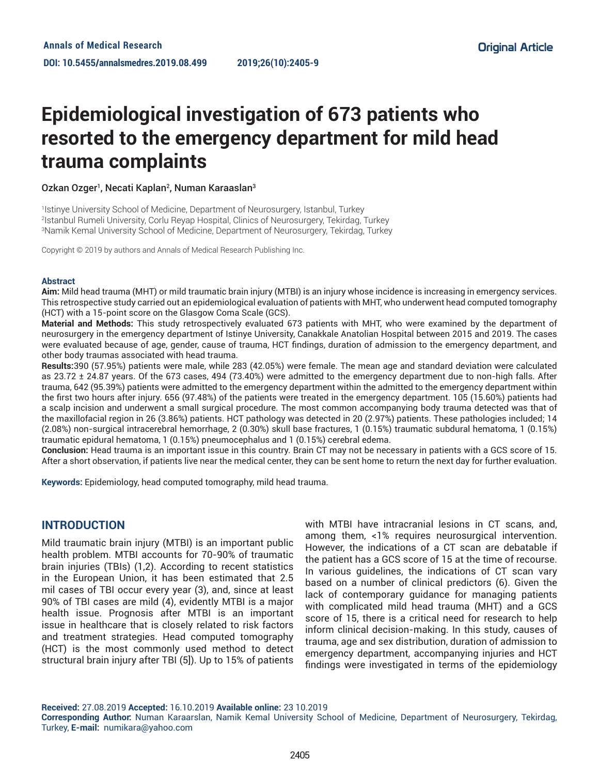# **Epidemiological investigation of 673 patients who resorted to the emergency department for mild head trauma complaints**

## Ozkan Ozger<sup>1</sup>, Necati Kaplan<sup>2</sup>, Numan Karaaslan<sup>3</sup>

1 Istinye University School of Medicine, Department of Neurosurgery, Istanbul, Turkey 2 Istanbul Rumeli University, Corlu Reyap Hospital, Clinics of Neurosurgery, Tekirdag, Turkey 3 Namik Kemal University School of Medicine, Department of Neurosurgery, Tekirdag, Turkey

Copyright © 2019 by authors and Annals of Medical Research Publishing Inc.

#### **Abstract**

**Aim:** Mild head trauma (MHT) or mild traumatic brain injury (MTBI) is an injury whose incidence is increasing in emergency services. This retrospective study carried out an epidemiological evaluation of patients with MHT, who underwent head computed tomography (HCT) with a 15-point score on the Glasgow Coma Scale (GCS).

**Material and Methods:** This study retrospectively evaluated 673 patients with MHT, who were examined by the department of neurosurgery in the emergency department of Istinye University, Canakkale Anatolian Hospital between 2015 and 2019. The cases were evaluated because of age, gender, cause of trauma, HCT findings, duration of admission to the emergency department, and other body traumas associated with head trauma.

**Results:**390 (57.95%) patients were male, while 283 (42.05%) were female. The mean age and standard deviation were calculated as 23.72 ± 24.87 years. Of the 673 cases, 494 (73.40%) were admitted to the emergency department due to non-high falls. After trauma, 642 (95.39%) patients were admitted to the emergency department within the admitted to the emergency department within the first two hours after injury. 656 (97.48%) of the patients were treated in the emergency department. 105 (15.60%) patients had a scalp incision and underwent a small surgical procedure. The most common accompanying body trauma detected was that of the maxillofacial region in 26 (3.86%) patients. HCT pathology was detected in 20 (2.97%) patients. These pathologies included; 14 (2.08%) non-surgical intracerebral hemorrhage, 2 (0.30%) skull base fractures, 1 (0.15%) traumatic subdural hematoma, 1 (0.15%) traumatic epidural hematoma, 1 (0.15%) pneumocephalus and 1 (0.15%) cerebral edema.

**Conclusion:** Head trauma is an important issue in this country. Brain CT may not be necessary in patients with a GCS score of 15. After a short observation, if patients live near the medical center, they can be sent home to return the next day for further evaluation.

**Keywords:** Epidemiology, head computed tomography, mild head trauma.

# **INTRODUCTION**

Mild traumatic brain injury (MTBI) is an important public health problem. MTBI accounts for 70-90% of traumatic brain injuries (TBIs) (1,2). According to recent statistics in the European Union, it has been estimated that 2.5 mil cases of TBI occur every year (3), and, since at least 90% of TBI cases are mild (4), evidently MTBI is a major health issue. Prognosis after MTBI is an important issue in healthcare that is closely related to risk factors and treatment strategies. Head computed tomography (HCT) is the most commonly used method to detect structural brain injury after TBI (5]). Up to 15% of patients

with MTBI have intracranial lesions in CT scans, and, among them, <1% requires neurosurgical intervention. However, the indications of a CT scan are debatable if the patient has a GCS score of 15 at the time of recourse. In various guidelines, the indications of CT scan vary based on a number of clinical predictors (6). Given the lack of contemporary guidance for managing patients with complicated mild head trauma (MHT) and a GCS score of 15, there is a critical need for research to help inform clinical decision-making. In this study, causes of trauma, age and sex distribution, duration of admission to emergency department, accompanying injuries and HCT findings were investigated in terms of the epidemiology

**Received:** 27.08.2019 **Accepted:** 16.10.2019 **Available online:** 23 10.2019

**Corresponding Author:** Numan Karaarslan, Namik Kemal University School of Medicine, Department of Neurosurgery, Tekirdag, Turkey, **E-mail:** numikara@yahoo.com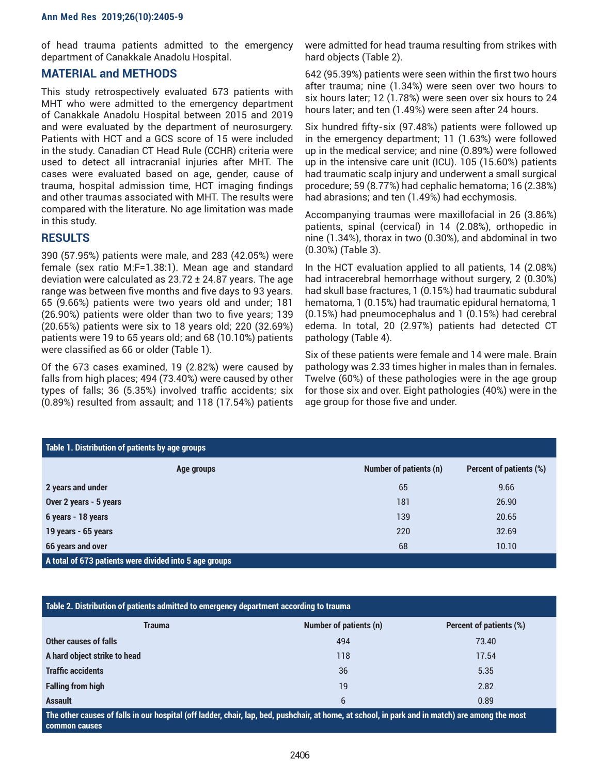of head trauma patients admitted to the emergency department of Canakkale Anadolu Hospital.

# **MATERIAL and METHODS**

This study retrospectively evaluated 673 patients with MHT who were admitted to the emergency department of Canakkale Anadolu Hospital between 2015 and 2019 and were evaluated by the department of neurosurgery. Patients with HCT and a GCS score of 15 were included in the study. Canadian CT Head Rule (CCHR) criteria were used to detect all intracranial injuries after MHT. The cases were evaluated based on age, gender, cause of trauma, hospital admission time, HCT imaging findings and other traumas associated with MHT. The results were compared with the literature. No age limitation was made in this study.

## **RESULTS**

390 (57.95%) patients were male, and 283 (42.05%) were female (sex ratio M:F=1.38:1). Mean age and standard deviation were calculated as 23.72 ± 24.87 years. The age range was between five months and five days to 93 years. 65 (9.66%) patients were two years old and under; 181 (26.90%) patients were older than two to five years; 139 (20.65%) patients were six to 18 years old; 220 (32.69%) patients were 19 to 65 years old; and 68 (10.10%) patients were classified as 66 or older (Table 1).

Of the 673 cases examined, 19 (2.82%) were caused by falls from high places; 494 (73.40%) were caused by other types of falls; 36 (5.35%) involved traffic accidents; six (0.89%) resulted from assault; and 118 (17.54%) patients

were admitted for head trauma resulting from strikes with hard objects (Table 2).

642 (95.39%) patients were seen within the first two hours after trauma; nine (1.34%) were seen over two hours to six hours later; 12 (1.78%) were seen over six hours to 24 hours later; and ten (1.49%) were seen after 24 hours.

Six hundred fifty-six (97.48%) patients were followed up in the emergency department; 11 (1.63%) were followed up in the medical service; and nine (0.89%) were followed up in the intensive care unit (ICU). 105 (15.60%) patients had traumatic scalp injury and underwent a small surgical procedure; 59 (8.77%) had cephalic hematoma; 16 (2.38%) had abrasions; and ten (1.49%) had ecchymosis.

Accompanying traumas were maxillofacial in 26 (3.86%) patients, spinal (cervical) in 14 (2.08%), orthopedic in nine (1.34%), thorax in two (0.30%), and abdominal in two (0.30%) (Table 3).

In the HCT evaluation applied to all patients, 14 (2.08%) had intracerebral hemorrhage without surgery, 2 (0.30%) had skull base fractures, 1 (0.15%) had traumatic subdural hematoma, 1 (0.15%) had traumatic epidural hematoma, 1 (0.15%) had pneumocephalus and 1 (0.15%) had cerebral edema. In total, 20 (2.97%) patients had detected CT pathology (Table 4).

Six of these patients were female and 14 were male. Brain pathology was 2.33 times higher in males than in females. Twelve (60%) of these pathologies were in the age group for those six and over. Eight pathologies (40%) were in the age group for those five and under.

| Table 1. Distribution of patients by age groups        |            |                        |                         |  |  |
|--------------------------------------------------------|------------|------------------------|-------------------------|--|--|
|                                                        | Age groups | Number of patients (n) | Percent of patients (%) |  |  |
| 2 years and under                                      |            | 65                     | 9.66                    |  |  |
| Over 2 years - 5 years                                 |            | 181                    | 26.90                   |  |  |
| 6 years - 18 years                                     |            | 139                    | 20.65                   |  |  |
| 19 years - 65 years                                    |            | 220                    | 32.69                   |  |  |
| 66 years and over                                      |            | 68                     | 10.10                   |  |  |
| A total of 673 patients were divided into 5 age groups |            |                        |                         |  |  |

|  | Table 2. Distribution of patients admitted to emergency department according to trauma |  |  |
|--|----------------------------------------------------------------------------------------|--|--|
|--|----------------------------------------------------------------------------------------|--|--|

| Trauma                                                                                                                                                           | <b>Number of patients (n)</b> | Percent of patients (%) |  |
|------------------------------------------------------------------------------------------------------------------------------------------------------------------|-------------------------------|-------------------------|--|
| Other causes of falls                                                                                                                                            | 494                           | 73.40                   |  |
| A hard object strike to head                                                                                                                                     | 118                           | 17.54                   |  |
| <b>Traffic accidents</b>                                                                                                                                         | 36                            | 5.35                    |  |
| <b>Falling from high</b>                                                                                                                                         | 19                            | 2.82                    |  |
| <b>Assault</b>                                                                                                                                                   | 6                             | 0.89                    |  |
| The other causes of falls in our hospital (off ladder, chair, lap, bed, pushchair, at home, at school, in park and in match) are among the most<br>common causes |                               |                         |  |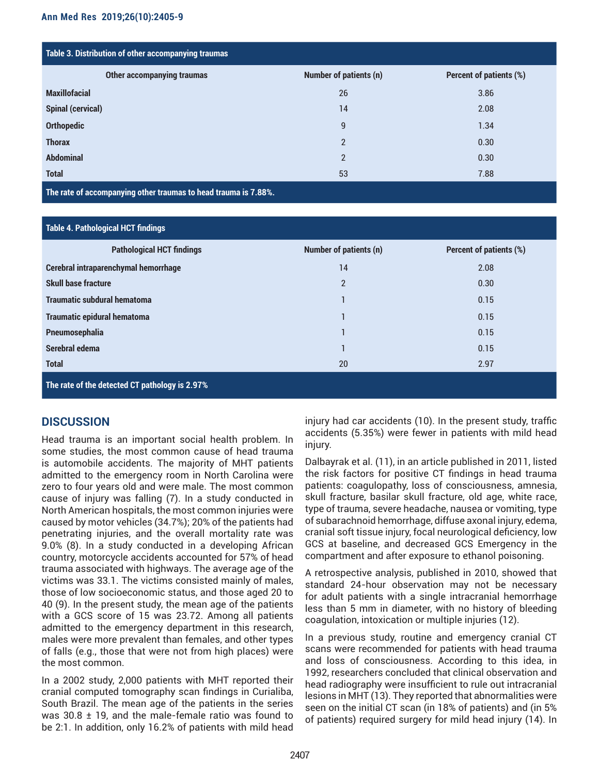| Table 3. Distribution of other accompanying traumas |                               |                         |  |  |
|-----------------------------------------------------|-------------------------------|-------------------------|--|--|
| <b>Other accompanying traumas</b>                   | <b>Number of patients (n)</b> | Percent of patients (%) |  |  |
| <b>Maxillofacial</b>                                | 26                            | 3.86                    |  |  |
| <b>Spinal (cervical)</b>                            | 14                            | 2.08                    |  |  |
| <b>Orthopedic</b>                                   | 9                             | 1.34                    |  |  |
| <b>Thorax</b>                                       | $\overline{2}$                | 0.30                    |  |  |
| <b>Abdominal</b>                                    | $\overline{2}$                | 0.30                    |  |  |
| <b>Total</b>                                        | 53                            | 7.88                    |  |  |

**The rate of accompanying other traumas to head trauma is 7.88%.** 

## **Table 4. Pathological HCT findings**

| <b>Pathological HCT findings</b>               | <b>Number of patients (n)</b> | Percent of patients (%) |  |  |
|------------------------------------------------|-------------------------------|-------------------------|--|--|
| Cerebral intraparenchymal hemorrhage           | 14                            | 2.08                    |  |  |
| <b>Skull base fracture</b>                     | $\overline{2}$                | 0.30                    |  |  |
| <b>Traumatic subdural hematoma</b>             |                               | 0.15                    |  |  |
| <b>Traumatic epidural hematoma</b>             |                               | 0.15                    |  |  |
| Pneumosephalia                                 |                               | 0.15                    |  |  |
| Serebral edema                                 |                               | 0.15                    |  |  |
| <b>Total</b>                                   | 20                            | 2.97                    |  |  |
| The rate of the detected CT pathology is 2.97% |                               |                         |  |  |

# **DISCUSSION**

Head trauma is an important social health problem. In some studies, the most common cause of head trauma is automobile accidents. The majority of MHT patients admitted to the emergency room in North Carolina were zero to four years old and were male. The most common cause of injury was falling (7). In a study conducted in North American hospitals, the most common injuries were caused by motor vehicles (34.7%); 20% of the patients had penetrating injuries, and the overall mortality rate was 9.0% (8). In a study conducted in a developing African country, motorcycle accidents accounted for 57% of head trauma associated with highways. The average age of the victims was 33.1. The victims consisted mainly of males, those of low socioeconomic status, and those aged 20 to 40 (9). In the present study, the mean age of the patients with a GCS score of 15 was 23.72. Among all patients admitted to the emergency department in this research, males were more prevalent than females, and other types of falls (e.g., those that were not from high places) were the most common.

In a 2002 study, 2,000 patients with MHT reported their cranial computed tomography scan findings in Curialiba, South Brazil. The mean age of the patients in the series was 30.8  $\pm$  19, and the male-female ratio was found to be 2:1. In addition, only 16.2% of patients with mild head

injury had car accidents (10). In the present study, traffic accidents (5.35%) were fewer in patients with mild head injury.

Dalbayrak et al. (11), in an article published in 2011, listed the risk factors for positive CT findings in head trauma patients: coagulopathy, loss of consciousness, amnesia, skull fracture, basilar skull fracture, old age, white race, type of trauma, severe headache, nausea or vomiting, type of subarachnoid hemorrhage, diffuse axonal injury, edema, cranial soft tissue injury, focal neurological deficiency, low GCS at baseline, and decreased GCS Emergency in the compartment and after exposure to ethanol poisoning.

A retrospective analysis, published in 2010, showed that standard 24-hour observation may not be necessary for adult patients with a single intracranial hemorrhage less than 5 mm in diameter, with no history of bleeding coagulation, intoxication or multiple injuries (12).

In a previous study, routine and emergency cranial CT scans were recommended for patients with head trauma and loss of consciousness. According to this idea, in 1992, researchers concluded that clinical observation and head radiography were insufficient to rule out intracranial lesions in MHT (13). They reported that abnormalities were seen on the initial CT scan (in 18% of patients) and (in 5% of patients) required surgery for mild head injury (14). In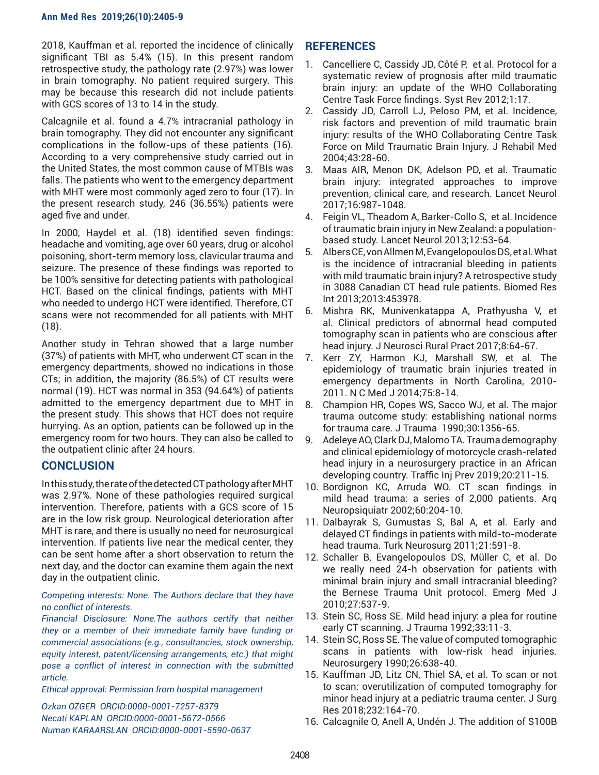### **Ann Med Res 2019;26(10):2405-9**

2018, Kauffman et al. reported the incidence of clinically significant TBI as 5.4% (15). In this present random retrospective study, the pathology rate (2.97%) was lower in brain tomography. No patient required surgery. This may be because this research did not include patients with GCS scores of 13 to 14 in the study.

Calcagnile et al. found a 4.7% intracranial pathology in brain tomography. They did not encounter any significant complications in the follow-ups of these patients (16). According to a very comprehensive study carried out in the United States, the most common cause of MTBIs was falls. The patients who went to the emergency department with MHT were most commonly aged zero to four (17). In the present research study, 246 (36.55%) patients were aged five and under.

In 2000, Haydel et al. (18) identified seven findings: headache and vomiting, age over 60 years, drug or alcohol poisoning, short-term memory loss, clavicular trauma and seizure. The presence of these findings was reported to be 100% sensitive for detecting patients with pathological HCT. Based on the clinical findings, patients with MHT who needed to undergo HCT were identified. Therefore, CT scans were not recommended for all patients with MHT (18).

Another study in Tehran showed that a large number (37%) of patients with MHT, who underwent CT scan in the emergency departments, showed no indications in those CTs; in addition, the majority (86.5%) of CT results were normal (19). HCT was normal in 353 (94.64%) of patients admitted to the emergency department due to MHT in the present study. This shows that HCT does not require hurrying. As an option, patients can be followed up in the emergency room for two hours. They can also be called to the outpatient clinic after 24 hours.

# **CONCLUSION**

In this study, the rate of the detected CT pathology after MHT was 2.97%. None of these pathologies required surgical intervention. Therefore, patients with a GCS score of 15 are in the low risk group. Neurological deterioration after MHT is rare, and there is usually no need for neurosurgical intervention. If patients live near the medical center, they can be sent home after a short observation to return the next day, and the doctor can examine them again the next day in the outpatient clinic.

## *Competing interests: None. The Authors declare that they have no conflict of interests.*

*Financial Disclosure: None.The authors certify that neither they or a member of their immediate family have funding or commercial associations (e.g., consultancies, stock ownership, equity interest, patent/licensing arrangements, etc.) that might pose a conflict of interest in connection with the submitted article.*

*Ethical approval: Permission from hospital management* 

*Ozkan OZGER ORCID:0000-0001-7257-8379 Necati KAPLAN ORCID:0000-0001-5672-0566 Numan KARAARSLAN ORCID:0000-0001-5590-0637*

# **REFERENCES**

- 1. Cancelliere C, Cassidy JD, Côté P, et al. Protocol for a systematic review of prognosis after mild traumatic brain injury: an update of the WHO Collaborating Centre Task Force findings. Syst Rev 2012;1:17.
- 2. Cassidy JD, Carroll LJ, Peloso PM, et al. Incidence, risk factors and prevention of mild traumatic brain injury: results of the WHO Collaborating Centre Task Force on Mild Traumatic Brain Injury. J Rehabil Med 2004;43:28-60.
- 3. Maas AIR, Menon DK, Adelson PD, et al. Traumatic brain injury: integrated approaches to improve prevention, clinical care, and research. Lancet Neurol 2017;16:987-1048.
- 4. Feigin VL, Theadom A, Barker-Collo S, et al. Incidence of traumatic brain injury in New Zealand: a populationbased study. Lancet Neurol 2013;12:53-64.
- 5. Albers CE, von Allmen M, Evangelopoulos DS, et al. What is the incidence of intracranial bleeding in patients with mild traumatic brain injury? A retrospective study in 3088 Canadian CT head rule patients. Biomed Res Int 2013;2013:453978.
- 6. Mishra RK, Munivenkatappa A, Prathyusha V, et al. Clinical predictors of abnormal head computed tomography scan in patients who are conscious after head injury. J Neurosci Rural Pract 2017;8:64-67.
- 7. Kerr ZY, Harmon KJ, Marshall SW, et al. The epidemiology of traumatic brain injuries treated in emergency departments in North Carolina, 2010- 2011. N C Med J 2014;75:8-14.
- 8. Champion HR, Copes WS, Sacco WJ, et al. The major trauma outcome study: establishing national norms for trauma care. J Trauma 1990;30:1356-65.
- 9. Adeleye AO, Clark DJ, Malomo TA. Trauma demography and clinical epidemiology of motorcycle crash-related head injury in a neurosurgery practice in an African developing country. Traffic Inj Prev 2019;20:211-15.
- 10. Bordignon KC, Arruda WO. CT scan findings in mild head trauma: a series of 2,000 patients. Arq Neuropsiquiatr 2002;60:204-10.
- 11. Dalbayrak S, Gumustas S, Bal A, et al. Early and delayed CT findings in patients with mild-to-moderate head trauma. Turk Neurosurg 2011;21:591-8.
- 12. Schaller B, Evangelopoulos DS, Müller C, et al. Do we really need 24-h observation for patients with minimal brain injury and small intracranial bleeding? the Bernese Trauma Unit protocol. Emerg Med J 2010;27:537-9.
- 13. Stein SC, Ross SE. Mild head injury: a plea for routine early CT scanning. J Trauma 1992;33:11-3.
- 14. Stein SC, Ross SE. The value of computed tomographic scans in patients with low-risk head injuries. Neurosurgery 1990;26:638-40.
- 15. Kauffman JD, Litz CN, Thiel SA, et al. To scan or not to scan: overutilization of computed tomography for minor head injury at a pediatric trauma center. J Surg Res 2018;232:164-70.
- 16. Calcagnile O, Anell A, Undén J. The addition of S100B